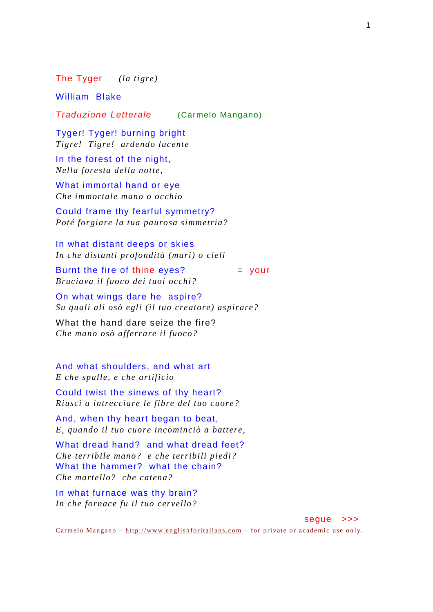The Tyger *(la tigre)*

William Blake

Traduzione Letterale (Carmelo Mangano)

Tyger! Tyger! burning bright *Tigre! Tigre! ardendo lucente* 

In the forest of the night, *Nella foresta della notte,* 

What immortal hand or eye *Che immortale mano o occhio* 

Could frame thy fearful symmetry? *Poté forgiare la tua paurosa simmetria?* 

In what distant deeps or skies *In che distanti profondità (mari) o cieli* 

Burnt the fire of thine eyes?  $=$  your *Bruciava il fuoco dei tuoi occhi?* 

On what wings dare he aspire? *Su quali ali osò egli (il tuo creatore) aspirare?* 

What the hand dare seize the fire? *Che mano osò afferrare il fuoco?* 

And what shoulders, and what art *E che spalle, e che artificio* 

Could twist the sinews of thy heart? *Riuscì a intrecciare le fibre del tuo cuore?* 

And, when thy heart began to beat, *E, quando il tuo cuore incominciò a battere,* 

What dread hand? and what dread feet? *Che terribile mano? e che terribili piedi?*  What the hammer? what the chain? *Che martello? che catena?* 

In what furnace was thy brain? *In che fornace fu il tuo cervello?* 

segue >>>

Carmelo Mangano –  $\frac{http://www.englishforitalians.com - for private or academic use only.}$